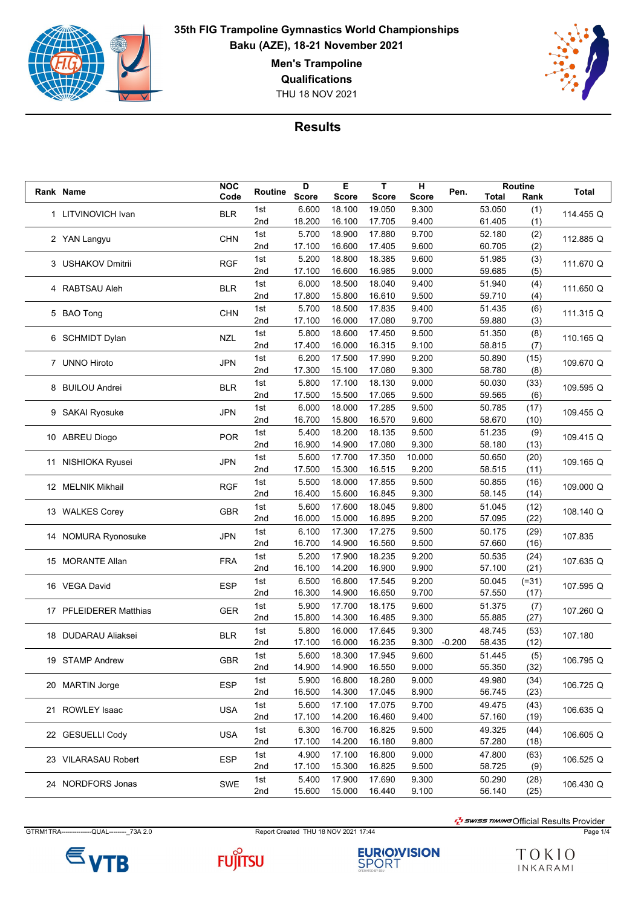

THU 18 NOV 2021



**Results**

|  |                        | <b>NOC</b> | Routine | D            | E            | T            | н            |          |        | Routine |           |
|--|------------------------|------------|---------|--------------|--------------|--------------|--------------|----------|--------|---------|-----------|
|  | <b>Rank Name</b>       | Code       |         | <b>Score</b> | <b>Score</b> | <b>Score</b> | <b>Score</b> | Pen.     | Total  | Rank    | Total     |
|  | 1 LITVINOVICH Ivan     |            | 1st     | 6.600        | 18.100       | 19.050       | 9.300        |          | 53.050 | (1)     | 114.455 Q |
|  |                        | <b>BLR</b> | 2nd     | 18.200       | 16.100       | 17.705       | 9.400        |          | 61.405 | (1)     |           |
|  |                        |            | 1st     | 5.700        | 18.900       | 17.880       | 9.700        |          | 52.180 | (2)     |           |
|  | 2 YAN Langyu           | <b>CHN</b> | 2nd     | 17.100       | 16.600       | 17.405       | 9.600        |          | 60.705 | (2)     | 112.885 Q |
|  |                        |            |         |              |              |              |              |          |        |         |           |
|  | 3 USHAKOV Dmitrii      | <b>RGF</b> | 1st     | 5.200        | 18.800       | 18.385       | 9.600        |          | 51.985 | (3)     | 111.670 Q |
|  |                        |            | 2nd     | 17.100       | 16.600       | 16.985       | 9.000        |          | 59.685 | (5)     |           |
|  | 4 RABTSAU Aleh         | <b>BLR</b> | 1st     | 6.000        | 18.500       | 18.040       | 9.400        |          | 51.940 | (4)     | 111.650 Q |
|  |                        |            | 2nd     | 17.800       | 15.800       | 16.610       | 9.500        |          | 59.710 | (4)     |           |
|  | 5 BAO Tong             | <b>CHN</b> | 1st     | 5.700        | 18.500       | 17.835       | 9.400        |          | 51.435 | (6)     | 111.315 Q |
|  |                        |            | 2nd     | 17.100       | 16.000       | 17.080       | 9.700        |          | 59.880 | (3)     |           |
|  |                        |            | 1st     | 5.800        | 18.600       | 17.450       | 9.500        |          | 51.350 | (8)     |           |
|  | 6 SCHMIDT Dylan        | <b>NZL</b> | 2nd     | 17.400       | 16.000       | 16.315       | 9.100        |          | 58.815 | (7)     | 110.165 Q |
|  |                        |            | 1st     | 6.200        | 17.500       | 17.990       | 9.200        |          | 50.890 |         |           |
|  | 7 UNNO Hiroto          | <b>JPN</b> |         |              |              |              |              |          |        | (15)    | 109.670 Q |
|  |                        |            | 2nd     | 17.300       | 15.100       | 17.080       | 9.300        |          | 58.780 | (8)     |           |
|  | 8 BUILOU Andrei        | <b>BLR</b> | 1st     | 5.800        | 17.100       | 18.130       | 9.000        |          | 50.030 | (33)    | 109.595 Q |
|  |                        |            | 2nd     | 17.500       | 15.500       | 17.065       | 9.500        |          | 59.565 | (6)     |           |
|  | 9 SAKAI Ryosuke        | <b>JPN</b> | 1st     | 6.000        | 18.000       | 17.285       | 9.500        |          | 50.785 | (17)    | 109.455 Q |
|  |                        |            | 2nd     | 16.700       | 15.800       | 16.570       | 9.600        |          | 58.670 | (10)    |           |
|  |                        |            | 1st     | 5.400        | 18.200       | 18.135       | 9.500        |          | 51.235 | (9)     |           |
|  | 10 ABREU Diogo         | <b>POR</b> | 2nd     | 16.900       | 14.900       | 17.080       | 9.300        |          | 58.180 | (13)    | 109.415 Q |
|  |                        |            | 1st     | 5.600        | 17.700       | 17.350       | 10.000       |          | 50.650 | (20)    |           |
|  | 11 NISHIOKA Ryusei     | <b>JPN</b> | 2nd     | 17.500       | 15.300       | 16.515       | 9.200        |          | 58.515 | (11)    | 109.165 Q |
|  |                        |            |         |              |              |              |              |          |        |         |           |
|  | 12 MELNIK Mikhail      | <b>RGF</b> | 1st     | 5.500        | 18.000       | 17.855       | 9.500        |          | 50.855 | (16)    | 109.000 Q |
|  |                        |            | 2nd     | 16.400       | 15.600       | 16.845       | 9.300        |          | 58.145 | (14)    |           |
|  | 13 WALKES Corey        | <b>GBR</b> | 1st     | 5.600        | 17.600       | 18.045       | 9.800        |          | 51.045 | (12)    | 108.140 Q |
|  |                        |            | 2nd     | 16.000       | 15.000       | 16.895       | 9.200        |          | 57.095 | (22)    |           |
|  | 14 NOMURA Ryonosuke    | <b>JPN</b> | 1st     | 6.100        | 17.300       | 17.275       | 9.500        |          | 50.175 | (29)    | 107.835   |
|  |                        |            | 2nd     | 16.700       | 14.900       | 16.560       | 9.500        |          | 57.660 | (16)    |           |
|  |                        |            | 1st     | 5.200        | 17.900       | 18.235       | 9.200        |          | 50.535 | (24)    |           |
|  | 15 MORANTE Allan       | <b>FRA</b> | 2nd     | 16.100       | 14.200       | 16.900       | 9.900        |          | 57.100 | (21)    | 107.635 Q |
|  |                        |            |         |              |              |              |              |          |        |         |           |
|  | 16 VEGA David          | <b>ESP</b> | 1st     | 6.500        | 16.800       | 17.545       | 9.200        |          | 50.045 | $(=31)$ | 107.595 Q |
|  |                        |            | 2nd     | 16.300       | 14.900       | 16.650       | 9.700        |          | 57.550 | (17)    |           |
|  | 17 PFLEIDERER Matthias | <b>GER</b> | 1st     | 5.900        | 17.700       | 18.175       | 9.600        |          | 51.375 | (7)     | 107.260 Q |
|  |                        |            | 2nd     | 15.800       | 14.300       | 16.485       | 9.300        |          | 55.885 | (27)    |           |
|  | 18 DUDARAU Aliaksei    | <b>BLR</b> | 1st     | 5.800        | 16.000       | 17.645       | 9.300        |          | 48.745 | (53)    | 107.180   |
|  |                        |            | 2nd     | 17.100       | 16.000       | 16.235       | 9.300        | $-0.200$ | 58.435 | (12)    |           |
|  |                        |            | 1st     | 5.600        | 18.300       | 17.945       | 9.600        |          | 51.445 | (5)     |           |
|  | 19 STAMP Andrew        | <b>GBR</b> | 2nd     | 14.900       | 14.900       | 16.550       | 9.000        |          | 55.350 | (32)    | 106.795 Q |
|  |                        |            | 1st     | 5.900        | 16.800       | 18.280       | 9.000        |          | 49.980 | (34)    |           |
|  | 20 MARTIN Jorge        | <b>ESP</b> | 2nd     | 16.500       | 14.300       | 17.045       | 8.900        |          | 56.745 | (23)    | 106.725 Q |
|  |                        |            |         |              |              |              |              |          |        |         |           |
|  | 21 ROWLEY Isaac        | USA        | 1st     | 5.600        | 17.100       | 17.075       | 9.700        |          | 49.475 | (43)    | 106.635 Q |
|  |                        |            | 2nd     | 17.100       | 14.200       | 16.460       | 9.400        |          | 57.160 | (19)    |           |
|  | 22 GESUELLI Cody       | USA        | 1st     | 6.300        | 16.700       | 16.825       | 9.500        |          | 49.325 | (44)    | 106.605 Q |
|  |                        |            | 2nd     | 17.100       | 14.200       | 16.180       | 9.800        |          | 57.280 | (18)    |           |
|  | 23 VILARASAU Robert    | <b>ESP</b> | 1st     | 4.900        | 17.100       | 16.800       | 9.000        |          | 47.800 | (63)    | 106.525 Q |
|  |                        |            | 2nd     | 17.100       | 15.300       | 16.825       | 9.500        |          | 58.725 | (9)     |           |
|  |                        |            | 1st     | 5.400        | 17.900       | 17.690       | 9.300        |          | 50.290 | (28)    |           |
|  | 24 NORDFORS Jonas      | <b>SWE</b> | 2nd     | 15.600       | 15.000       | 16.440       | 9.100        |          | 56.140 | (25)    | 106.430 Q |
|  |                        |            |         |              |              |              |              |          |        |         |           |

GTRM1TRA--------------QUAL---------\_73A 2.0 Report Created THU 18 NOV 2021 17:44 Page 1/4







 $\frac{1}{2}$ swiss TIMING Official Results Provider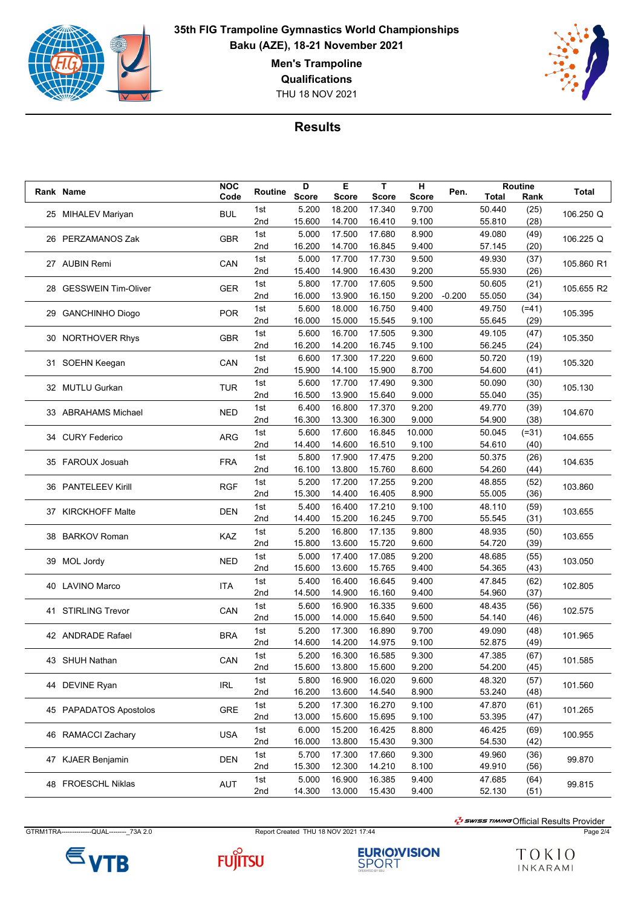

THU 18 NOV 2021



#### **Results**

|  |                        | <b>NOC</b> |         | D            | Е            | т            | н            |          |        | Routine |              |
|--|------------------------|------------|---------|--------------|--------------|--------------|--------------|----------|--------|---------|--------------|
|  | Rank Name              | Code       | Routine | <b>Score</b> | <b>Score</b> | <b>Score</b> | <b>Score</b> | Pen.     | Total  | Rank    | <b>Total</b> |
|  |                        |            | 1st     | 5.200        | 18.200       | 17.340       | 9.700        |          | 50.440 | (25)    |              |
|  | 25 MIHALEV Mariyan     | <b>BUL</b> | 2nd     | 15.600       | 14.700       | 16.410       | 9.100        |          | 55.810 | (28)    | 106.250 Q    |
|  |                        |            | 1st     | 5.000        | 17.500       | 17.680       | 8.900        |          | 49.080 | (49)    |              |
|  | 26 PERZAMANOS Zak      | <b>GBR</b> |         |              |              |              |              |          |        |         | 106.225 Q    |
|  |                        |            | 2nd     | 16.200       | 14.700       | 16.845       | 9.400        |          | 57.145 | (20)    |              |
|  | 27 AUBIN Remi          | CAN        | 1st     | 5.000        | 17.700       | 17.730       | 9.500        |          | 49.930 | (37)    | 105.860 R1   |
|  |                        |            | 2nd     | 15.400       | 14.900       | 16.430       | 9.200        |          | 55.930 | (26)    |              |
|  | 28 GESSWEIN Tim-Oliver | <b>GER</b> | 1st     | 5.800        | 17.700       | 17.605       | 9.500        |          | 50.605 | (21)    | 105.655 R2   |
|  |                        |            | 2nd     | 16.000       | 13.900       | 16.150       | 9.200        | $-0.200$ | 55.050 | (34)    |              |
|  | 29 GANCHINHO Diogo     | <b>POR</b> | 1st     | 5.600        | 18.000       | 16.750       | 9.400        |          | 49.750 | $(=41)$ |              |
|  |                        |            | 2nd     | 16.000       | 15.000       | 15.545       | 9.100        |          | 55.645 | (29)    | 105.395      |
|  |                        |            | 1st     | 5.600        | 16.700       | 17.505       | 9.300        |          | 49.105 | (47)    |              |
|  | 30 NORTHOVER Rhys      | <b>GBR</b> | 2nd     | 16.200       | 14.200       | 16.745       | 9.100        |          | 56.245 | (24)    | 105.350      |
|  |                        |            | 1st     | 6.600        | 17.300       | 17.220       | 9.600        |          | 50.720 | (19)    |              |
|  | 31 SOEHN Keegan        | CAN        | 2nd     | 15.900       | 14.100       | 15.900       | 8.700        |          | 54.600 | (41)    | 105.320      |
|  |                        |            |         |              |              |              |              |          |        |         |              |
|  | 32 MUTLU Gurkan        | <b>TUR</b> | 1st     | 5.600        | 17.700       | 17.490       | 9.300        |          | 50.090 | (30)    | 105.130      |
|  |                        |            | 2nd     | 16.500       | 13.900       | 15.640       | 9.000        |          | 55.040 | (35)    |              |
|  | 33 ABRAHAMS Michael    | <b>NED</b> | 1st     | 6.400        | 16.800       | 17.370       | 9.200        |          | 49.770 | (39)    | 104.670      |
|  |                        |            | 2nd     | 16.300       | 13.300       | 16.300       | 9.000        |          | 54.900 | (38)    |              |
|  | 34 CURY Federico       | <b>ARG</b> | 1st     | 5.600        | 17.600       | 16.845       | 10.000       |          | 50.045 | $(=31)$ | 104.655      |
|  |                        |            | 2nd     | 14.400       | 14.600       | 16.510       | 9.100        |          | 54.610 | (40)    |              |
|  |                        |            | 1st     | 5.800        | 17.900       | 17.475       | 9.200        |          | 50.375 | (26)    |              |
|  | 35 FAROUX Josuah       | <b>FRA</b> | 2nd     | 16.100       | 13.800       | 15.760       | 8.600        |          | 54.260 | (44)    | 104.635      |
|  | 36 PANTELEEV Kirill    | <b>RGF</b> | 1st     | 5.200        | 17.200       | 17.255       | 9.200        |          | 48.855 | (52)    |              |
|  |                        |            | 2nd     | 15.300       | 14.400       | 16.405       | 8.900        |          | 55.005 | (36)    | 103.860      |
|  |                        |            |         |              |              |              |              |          |        |         |              |
|  | 37 KIRCKHOFF Malte     | <b>DEN</b> | 1st     | 5.400        | 16.400       | 17.210       | 9.100        |          | 48.110 | (59)    | 103.655      |
|  |                        |            | 2nd     | 14.400       | 15.200       | 16.245       | 9.700        |          | 55.545 | (31)    |              |
|  | 38 BARKOV Roman        | KAZ        | 1st     | 5.200        | 16.800       | 17.135       | 9.800        |          | 48.935 | (50)    | 103.655      |
|  |                        |            | 2nd     | 15.800       | 13.600       | 15.720       | 9.600        |          | 54.720 | (39)    |              |
|  | 39 MOL Jordy           | <b>NED</b> | 1st     | 5.000        | 17.400       | 17.085       | 9.200        |          | 48.685 | (55)    | 103.050      |
|  |                        |            | 2nd     | 15.600       | 13.600       | 15.765       | 9.400        |          | 54.365 | (43)    |              |
|  |                        | <b>ITA</b> | 1st     | 5.400        | 16.400       | 16.645       | 9.400        |          | 47.845 | (62)    |              |
|  | 40 LAVINO Marco        |            | 2nd     | 14.500       | 14.900       | 16.160       | 9.400        |          | 54.960 | (37)    | 102.805      |
|  |                        |            | 1st     | 5.600        | 16.900       | 16.335       | 9.600        |          | 48.435 | (56)    |              |
|  | 41 STIRLING Trevor     | CAN        | 2nd     | 15.000       | 14.000       | 15.640       | 9.500        |          | 54.140 | (46)    | 102.575      |
|  |                        |            | 1st     | 5.200        | 17.300       | 16.890       | 9.700        |          | 49.090 | (48)    |              |
|  | 42 ANDRADE Rafael      | <b>BRA</b> | 2nd     | 14.600       | 14.200       | 14.975       | 9.100        |          | 52.875 | (49)    | 101.965      |
|  |                        |            |         |              |              |              |              |          |        |         |              |
|  | 43 SHUH Nathan         | CAN        | 1st     | 5.200        | 16.300       | 16.585       | 9.300        |          | 47.385 | (67)    | 101.585      |
|  |                        |            | 2nd     | 15.600       | 13.800       | 15.600       | 9.200        |          | 54.200 | (45)    |              |
|  | 44 DEVINE Ryan         | IRL        | 1st     | 5.800        | 16.900       | 16.020       | 9.600        |          | 48.320 | (57)    | 101.560      |
|  |                        |            | 2nd     | 16.200       | 13.600       | 14.540       | 8.900        |          | 53.240 | (48)    |              |
|  | 45 PAPADATOS Apostolos | GRE        | 1st     | 5.200        | 17.300       | 16.270       | 9.100        |          | 47.870 | (61)    | 101.265      |
|  |                        |            | 2nd     | 13.000       | 15.600       | 15.695       | 9.100        |          | 53.395 | (47)    |              |
|  |                        |            | 1st     | 6.000        | 15.200       | 16.425       | 8.800        |          | 46.425 | (69)    |              |
|  | 46 RAMACCI Zachary     | <b>USA</b> | 2nd     | 16.000       | 13.800       | 15.430       | 9.300        |          | 54.530 | (42)    | 100.955      |
|  |                        |            | 1st     | 5.700        | 17.300       | 17.660       | 9.300        |          | 49.960 | (36)    |              |
|  | 47 KJAER Benjamin      | DEN        | 2nd     | 15.300       | 12.300       | 14.210       | 8.100        |          | 49.910 | (56)    | 99.870       |
|  |                        |            | 1st     | 5.000        | 16.900       | 16.385       | 9.400        |          | 47.685 |         |              |
|  | 48 FROESCHL Niklas     | AUT        |         |              |              |              |              |          |        | (64)    | 99.815       |
|  |                        |            | 2nd     | 14.300       | 13.000       | 15.430       | 9.400        |          | 52.130 | (51)    |              |

GTRM1TRA--------------QUAL---------\_73A 2.0 Report Created THU 18 NOV 2021 17:44 Page 2/4

 $\frac{1}{2}$ swiss TIMING Official Results Provider



**FUJITSU** 

**EURIO)VISION**<br>SPORT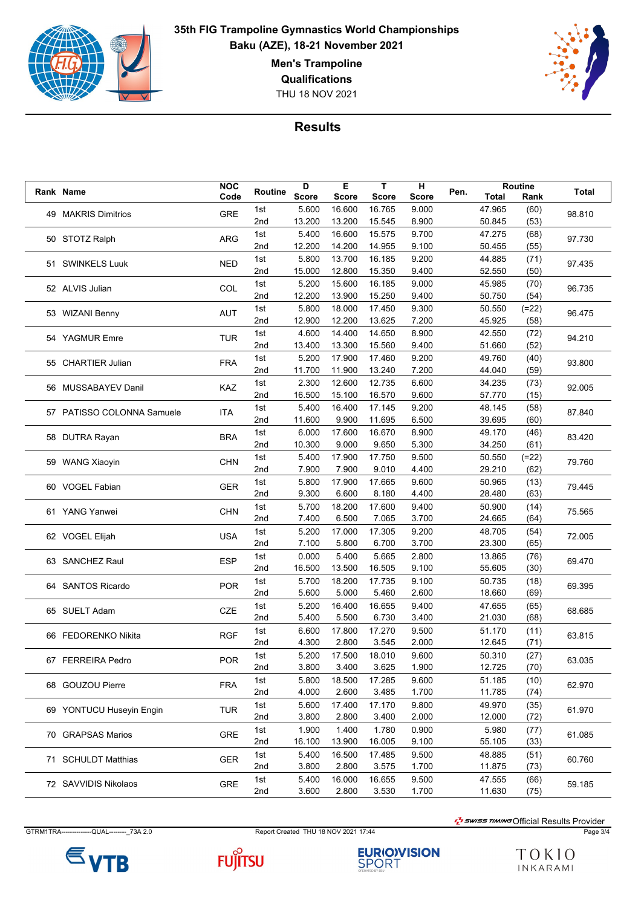

THU 18 NOV 2021



#### **Results**

|  | Rank Name                  | <b>NOC</b> | Routine | D            | Е            | т            | н            | Pen. |        | Routine | <b>Total</b>   |
|--|----------------------------|------------|---------|--------------|--------------|--------------|--------------|------|--------|---------|----------------|
|  |                            | Code       |         | <b>Score</b> | <b>Score</b> | <b>Score</b> | <b>Score</b> |      | Total  | Rank    |                |
|  |                            |            | 1st     | 5.600        | 16.600       | 16.765       | 9.000        |      | 47.965 | (60)    |                |
|  | 49 MAKRIS Dimitrios        | <b>GRE</b> | 2nd     | 13.200       | 13.200       | 15.545       | 8.900        |      | 50.845 | (53)    | 98.810         |
|  | 50 STOTZ Ralph             |            | 1st     | 5.400        | 16.600       | 15.575       | 9.700        |      | 47.275 | (68)    |                |
|  |                            | ARG        | 2nd     | 12.200       | 14.200       | 14.955       | 9.100        |      | 50.455 | (55)    | 97.730         |
|  |                            |            |         |              |              |              |              |      |        |         |                |
|  | 51 SWINKELS Luuk           | <b>NED</b> | 1st     | 5.800        | 13.700       | 16.185       | 9.200        |      | 44.885 | (71)    | 97.435         |
|  |                            |            | 2nd     | 15.000       | 12.800       | 15.350       | 9.400        |      | 52.550 | (50)    |                |
|  | 52 ALVIS Julian            | COL        | 1st     | 5.200        | 15.600       | 16.185       | 9.000        |      | 45.985 | (70)    | 96.735         |
|  |                            |            | 2nd     | 12.200       | 13.900       | 15.250       | 9.400        |      | 50.750 | (54)    |                |
|  | 53 WIZANI Benny            | AUT        | 1st     | 5.800        | 18.000       | 17.450       | 9.300        |      | 50.550 | $(=22)$ | 96.475         |
|  |                            |            | 2nd     | 12.900       | 12.200       | 13.625       | 7.200        |      | 45.925 | (58)    |                |
|  |                            |            | 1st     | 4.600        | 14.400       | 14.650       | 8.900        |      | 42.550 | (72)    |                |
|  | 54 YAGMUR Emre             | <b>TUR</b> | 2nd     | 13.400       | 13.300       | 15.560       | 9.400        |      | 51.660 | (52)    | 94.210         |
|  |                            |            | 1st     | 5.200        | 17.900       | 17.460       | 9.200        |      | 49.760 | (40)    |                |
|  | 55 CHARTIER Julian         | <b>FRA</b> |         |              |              | 13.240       |              |      |        |         | 93.800         |
|  |                            |            | 2nd     | 11.700       | 11.900       |              | 7.200        |      | 44.040 | (59)    |                |
|  | 56 MUSSABAYEV Danil        | KAZ        | 1st     | 2.300        | 12.600       | 12.735       | 6.600        |      | 34.235 | (73)    | 92.005         |
|  |                            |            | 2nd     | 16.500       | 15.100       | 16.570       | 9.600        |      | 57.770 | (15)    |                |
|  | 57 PATISSO COLONNA Samuele | <b>ITA</b> | 1st     | 5.400        | 16.400       | 17.145       | 9.200        |      | 48.145 | (58)    | 87.840         |
|  |                            |            | 2nd     | 11.600       | 9.900        | 11.695       | 6.500        |      | 39.695 | (60)    |                |
|  | 58 DUTRA Rayan             |            | 1st     | 6.000        | 17.600       | 16.670       | 8.900        |      | 49.170 | (46)    | 83.420         |
|  |                            | <b>BRA</b> | 2nd     | 10.300       | 9.000        | 9.650        | 5.300        |      | 34.250 | (61)    |                |
|  | 59 WANG Xiaoyin            | CHN        | 1st     | 5.400        | 17.900       | 17.750       | 9.500        |      | 50.550 | $(=22)$ | 79.760         |
|  |                            |            | 2nd     | 7.900        | 7.900        | 9.010        | 4.400        |      | 29.210 | (62)    |                |
|  |                            |            |         |              |              |              |              |      |        |         |                |
|  | 60 VOGEL Fabian            | <b>GER</b> | 1st     | 5.800        | 17.900       | 17.665       | 9.600        |      | 50.965 | (13)    | 79.445         |
|  |                            |            | 2nd     | 9.300        | 6.600        | 8.180        | 4.400        |      | 28.480 | (63)    |                |
|  | 61 YANG Yanwei             | <b>CHN</b> | 1st     | 5.700        | 18.200       | 17.600       | 9.400        |      | 50.900 | (14)    | 75.565         |
|  |                            |            | 2nd     | 7.400        | 6.500        | 7.065        | 3.700        |      | 24.665 | (64)    |                |
|  | 62 VOGEL Elijah            | <b>USA</b> | 1st     | 5.200        | 17.000       | 17.305       | 9.200        |      | 48.705 | (54)    | 72.005         |
|  |                            |            | 2nd     | 7.100        | 5.800        | 6.700        | 3.700        |      | 23.300 | (65)    |                |
|  |                            |            | 1st     | 0.000        | 5.400        | 5.665        | 2.800        |      | 13.865 | (76)    |                |
|  | 63 SANCHEZ Raul            | <b>ESP</b> | 2nd     | 16.500       | 13.500       | 16.505       | 9.100        |      | 55.605 | (30)    | 69.470         |
|  |                            |            | 1st     | 5.700        | 18.200       | 17.735       | 9.100        |      | 50.735 | (18)    |                |
|  | 64 SANTOS Ricardo          | <b>POR</b> |         |              |              |              |              |      |        |         | 69.395         |
|  |                            |            | 2nd     | 5.600        | 5.000        | 5.460        | 2.600        |      | 18.660 | (69)    |                |
|  | 65 SUELT Adam              | <b>CZE</b> | 1st     | 5.200        | 16.400       | 16.655       | 9.400        |      | 47.655 | (65)    | 68.685         |
|  |                            |            | 2nd     | 5.400        | 5.500        | 6.730        | 3.400        |      | 21.030 | (68)    |                |
|  | 66 FEDORENKO Nikita        | <b>RGF</b> | 1st     | 6.600        | 17.800       | 17.270       | 9.500        |      | 51.170 | (11)    | 63.815         |
|  |                            |            | 2nd     | 4.300        | 2.800        | 3.545        | 2.000        |      | 12.645 | (71)    |                |
|  |                            |            | 1st     | 5.200        | 17.500       | 18.010       | 9.600        |      | 50.310 | (27)    |                |
|  | 67 FERREIRA Pedro          | <b>POR</b> | 2nd     | 3.800        | 3.400        | 3.625        | 1.900        |      | 12.725 | (70)    | 63.035         |
|  |                            |            | 1st     | 5.800        | 18.500       | 17.285       | 9.600        |      | 51.185 | (10)    |                |
|  | 68 GOUZOU Pierre           | <b>FRA</b> | 2nd     | 4.000        | 2.600        | 3.485        | 1.700        |      | 11.785 | (74)    | 62.970         |
|  |                            |            |         |              |              |              |              |      |        |         |                |
|  | 69 YONTUCU Huseyin Engin   | <b>TUR</b> | 1st     | 5.600        | 17.400       | 17.170       | 9.800        |      | 49.970 | (35)    | 61.970         |
|  |                            |            | 2nd     | 3.800        | 2.800        | 3.400        | 2.000        |      | 12.000 | (72)    |                |
|  | 70 GRAPSAS Marios          | <b>GRE</b> | 1st     | 1.900        | 1.400        | 1.780        | 0.900        |      | 5.980  | (77)    | 61.085         |
|  |                            |            | 2nd     | 16.100       | 13.900       | 16.005       | 9.100        |      | 55.105 | (33)    |                |
|  | 71 SCHULDT Matthias        | GER        | 1st     | 5.400        | 16.500       | 17.485       | 9.500        |      | 48.885 | (51)    |                |
|  |                            |            | 2nd     | 3.800        | 2.800        | 3.575        | 1.700        |      | 11.875 | (73)    | 60.760         |
|  |                            |            | 1st     | 5.400        | 16.000       | 16.655       | 9.500        |      | 47.555 |         | (66)<br>59.185 |
|  | 72 SAVVIDIS Nikolaos       | GRE        | 2nd     | 3.600        | 2.800        | 3.530        | 1.700        |      | 11.630 | (75)    |                |
|  |                            |            |         |              |              |              |              |      |        |         |                |

GTRM1TRA--------------QUAL---------\_73A 2.0 Report Created THU 18 NOV 2021 17:44 Page 3/4

 $\varepsilon$ <sub>VTB</sub>



**EURIO)VISION**<br>SPORT

 $\frac{1}{2}$ swiss TIMING Official Results Provider